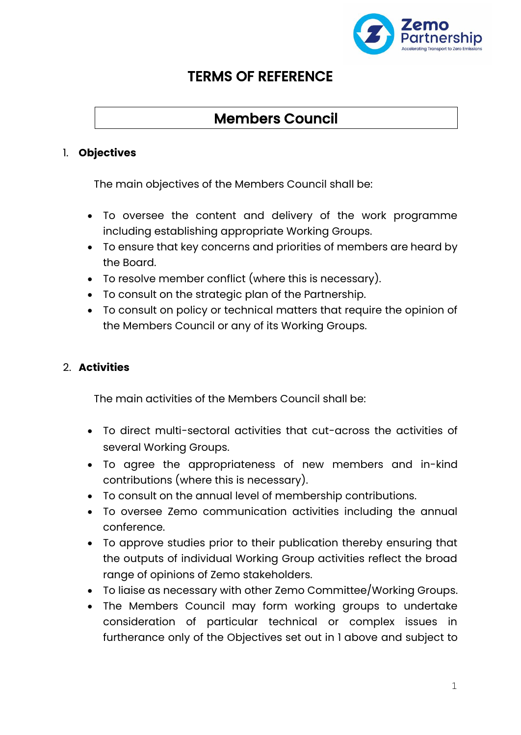

## TERMS OF REFERENCE

# Members Council

### 1. **Objectives**

The main objectives of the Members Council shall be:

- To oversee the content and delivery of the work programme including establishing appropriate Working Groups.
- To ensure that key concerns and priorities of members are heard by the Board.
- To resolve member conflict (where this is necessary).
- To consult on the strategic plan of the Partnership.
- To consult on policy or technical matters that require the opinion of the Members Council or any of its Working Groups.

## 2. **Activities**

The main activities of the Members Council shall be:

- To direct multi-sectoral activities that cut-across the activities of several Working Groups.
- To agree the appropriateness of new members and in-kind contributions (where this is necessary).
- To consult on the annual level of membership contributions.
- To oversee Zemo communication activities including the annual conference.
- To approve studies prior to their publication thereby ensuring that the outputs of individual Working Group activities reflect the broad range of opinions of Zemo stakeholders.
- To liaise as necessary with other Zemo Committee/Working Groups.
- The Members Council may form working groups to undertake consideration of particular technical or complex issues in furtherance only of the Objectives set out in 1 above and subject to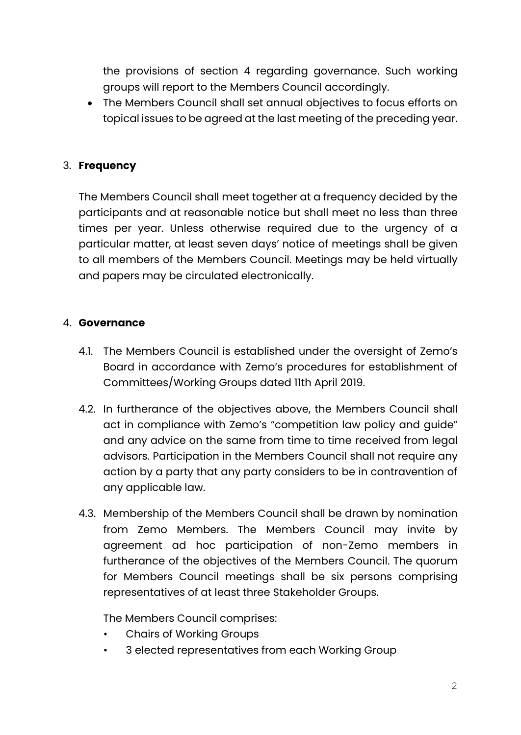the provisions of section 4 regarding governance. Such working groups will report to the Members Council accordingly.

• The Members Council shall set annual objectives to focus efforts on topical issues to be agreed at the last meeting of the preceding year.

## 3. **Frequency**

The Members Council shall meet together at a frequency decided by the participants and at reasonable notice but shall meet no less than three times per year. Unless otherwise required due to the urgency of a particular matter, at least seven days' notice of meetings shall be given to all members of the Members Council. Meetings may be held virtually and papers may be circulated electronically.

#### 4. **Governance**

- 4.1. The Members Council is established under the oversight of Zemo's Board in accordance with Zemo's procedures for establishment of Committees/Working Groups dated 11th April 2019.
- 4.2. In furtherance of the objectives above, the Members Council shall act in compliance with Zemo's "competition law policy and guide" and any advice on the same from time to time received from legal advisors. Participation in the Members Council shall not require any action by a party that any party considers to be in contravention of any applicable law.
- 4.3. Membership of the Members Council shall be drawn by nomination from Zemo Members. The Members Council may invite by agreement ad hoc participation of non-Zemo members in furtherance of the objectives of the Members Council. The quorum for Members Council meetings shall be six persons comprising representatives of at least three Stakeholder Groups.

The Members Council comprises:

- Chairs of Working Groups
- 3 elected representatives from each Working Group